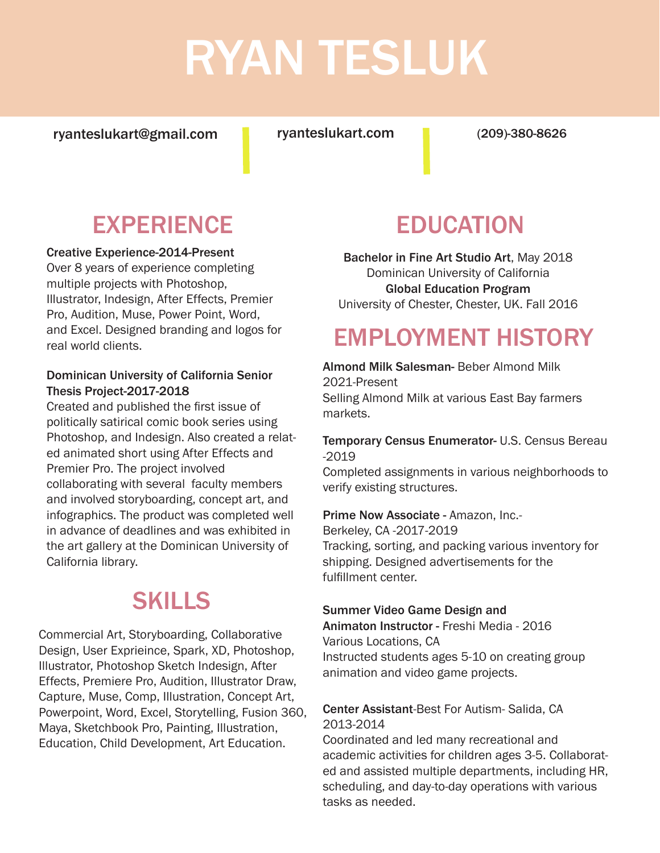# RYAN TESLUK

ryanteslukart@gmail.com ryanteslukart.com

(209)-380-8626

## **EXPERIENCE**

Creative Experience-2014-Present

Over 8 years of experience completing multiple projects with Photoshop, Illustrator, Indesign, After Effects, Premier Pro, Audition, Muse, Power Point, Word, and Excel. Designed branding and logos for real world clients.

#### Dominican University of California Senior Thesis Project-2017-2018

Created and published the first issue of politically satirical comic book series using Photoshop, and Indesign. Also created a related animated short using After Effects and Premier Pro. The project involved collaborating with several faculty members and involved storyboarding, concept art, and infographics. The product was completed well in advance of deadlines and was exhibited in the art gallery at the Dominican University of California library.

### SKILLS

Commercial Art, Storyboarding, Collaborative Design, User Exprieince, Spark, XD, Photoshop, Illustrator, Photoshop Sketch Indesign, After Effects, Premiere Pro, Audition, Illustrator Draw, Capture, Muse, Comp, Illustration, Concept Art, Powerpoint, Word, Excel, Storytelling, Fusion 360, Maya, Sketchbook Pro, Painting, Illustration, Education, Child Development, Art Education.

### EDUCATION

Bachelor in Fine Art Studio Art, May 2018 Dominican University of California Global Education Program University of Chester, Chester, UK. Fall 2016

### EMPLOYMENT HISTORY

Almond Milk Salesman- Beber Almond Milk 2021-Present Selling Almond Milk at various East Bay farmers markets.

#### Temporary Census Enumerator- U.S. Census Bereau -2019

Completed assignments in various neighborhoods to verify existing structures.

Prime Now Associate - Amazon, Inc.- Berkeley, CA -2017-2019 Tracking, sorting, and packing various inventory for shipping. Designed advertisements for the fulfillment center.

#### Summer Video Game Design and

Animaton Instructor - Freshi Media - 2016 Various Locations, CA Instructed students ages 5-10 on creating group animation and video game projects.

#### Center Assistant-Best For Autism- Salida, CA 2013-2014

Coordinated and led many recreational and academic activities for children ages 3-5. Collaborated and assisted multiple departments, including HR, scheduling, and day-to-day operations with various tasks as needed.